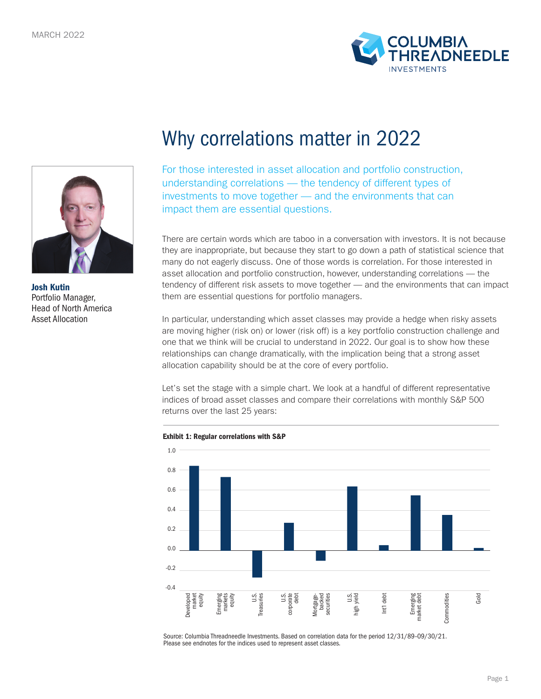



Josh Kutin Portfolio Manager, Head of North America Asset Allocation

# Why correlations matter in 2022

For those interested in asset allocation and portfolio construction, understanding correlations — the tendency of different types of investments to move together — and the environments that can impact them are essential questions.

There are certain words which are taboo in a conversation with investors. It is not because they are inappropriate, but because they start to go down a path of statistical science that many do not eagerly discuss. One of those words is correlation. For those interested in asset allocation and portfolio construction, however, understanding correlations — the tendency of different risk assets to move together — and the environments that can impact them are essential questions for portfolio managers.

In particular, understanding which asset classes may provide a hedge when risky assets are moving higher (risk on) or lower (risk off) is a key portfolio construction challenge and one that we think will be crucial to understand in 2022. Our goal is to show how these relationships can change dramatically, with the implication being that a strong asset allocation capability should be at the core of every portfolio.

Let's set the stage with a simple chart. We look at a handful of different representative indices of broad asset classes and compare their correlations with monthly S&P 500 returns over the last 25 years:

Exhibit 1: Regular correlations with S&P



Source: Columbia Threadneedle Investments. Based on correlation data for the period 12/31/89–09/30/21. Please see endnotes for the indices used to represent asset classes.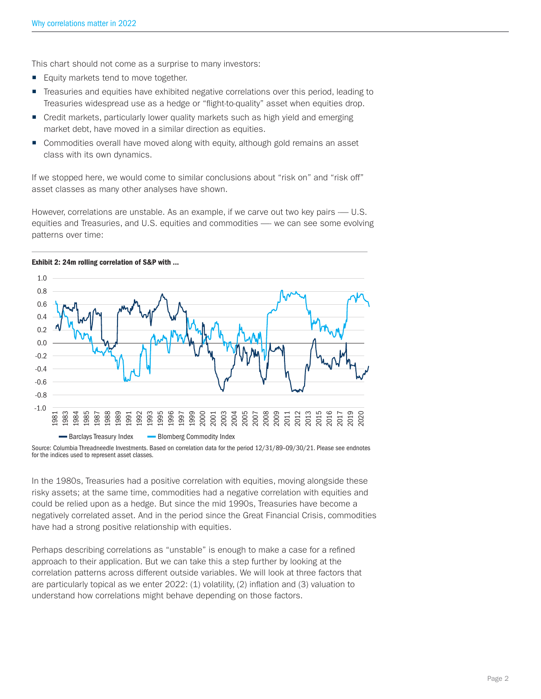This chart should not come as a surprise to many investors:

- **Equity markets tend to move together.**
- Treasuries and equities have exhibited negative correlations over this period, leading to Treasuries widespread use as a hedge or "flight-to-quality" asset when equities drop.
- Credit markets, particularly lower quality markets such as high yield and emerging market debt, have moved in a similar direction as equities.
- Commodities overall have moved along with equity, although gold remains an asset class with its own dynamics.

If we stopped here, we would come to similar conclusions about "risk on" and "risk off" asset classes as many other analyses have shown.

However, correlations are unstable. As an example, if we carve out two key pairs — U.S. equities and Treasuries, and U.S. equities and commodities — we can see some evolving patterns over time:



Exhibit 2: 24m rolling correlation of S&P with ...

In the 1980s, Treasuries had a positive correlation with equities, moving alongside these risky assets; at the same time, commodities had a negative correlation with equities and could be relied upon as a hedge. But since the mid 1990s, Treasuries have become a negatively correlated asset. And in the period since the Great Financial Crisis, commodities have had a strong positive relationship with equities.

Perhaps describing correlations as "unstable" is enough to make a case for a refined approach to their application. But we can take this a step further by looking at the correlation patterns across different outside variables. We will look at three factors that are particularly topical as we enter 2022: (1) volatility, (2) inflation and (3) valuation to understand how correlations might behave depending on those factors.

Source: Columbia Threadneedle Investments. Based on correlation data for the period 12/31/89–09/30/21. Please see endnotes for the indices used to represent asset classes.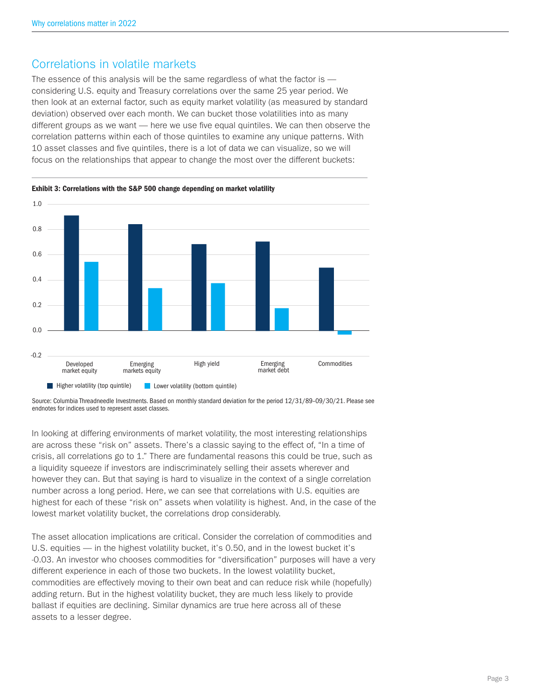#### Correlations in volatile markets

The essence of this analysis will be the same regardless of what the factor is considering U.S. equity and Treasury correlations over the same 25 year period. We then look at an external factor, such as equity market volatility (as measured by standard deviation) observed over each month. We can bucket those volatilities into as many different groups as we want — here we use five equal quintiles. We can then observe the correlation patterns within each of those quintiles to examine any unique patterns. With 10 asset classes and five quintiles, there is a lot of data we can visualize, so we will focus on the relationships that appear to change the most over the different buckets:



Exhibit 3: Correlations with the S&P 500 change depending on market volatility

Source: Columbia Threadneedle Investments. Based on monthly standard deviation for the period 12/31/89–09/30/21. Please see endnotes for indices used to represent asset classes.

In looking at differing environments of market volatility, the most interesting relationships are across these "risk on" assets. There's a classic saying to the effect of, "In a time of crisis, all correlations go to 1." There are fundamental reasons this could be true, such as a liquidity squeeze if investors are indiscriminately selling their assets wherever and however they can. But that saying is hard to visualize in the context of a single correlation number across a long period. Here, we can see that correlations with U.S. equities are highest for each of these "risk on" assets when volatility is highest. And, in the case of the lowest market volatility bucket, the correlations drop considerably.

The asset allocation implications are critical. Consider the correlation of commodities and U.S. equities — in the highest volatility bucket, it's 0.50, and in the lowest bucket it's -0.03. An investor who chooses commodities for "diversification" purposes will have a very different experience in each of those two buckets. In the lowest volatility bucket, commodities are effectively moving to their own beat and can reduce risk while (hopefully) adding return. But in the highest volatility bucket, they are much less likely to provide ballast if equities are declining. Similar dynamics are true here across all of these assets to a lesser degree.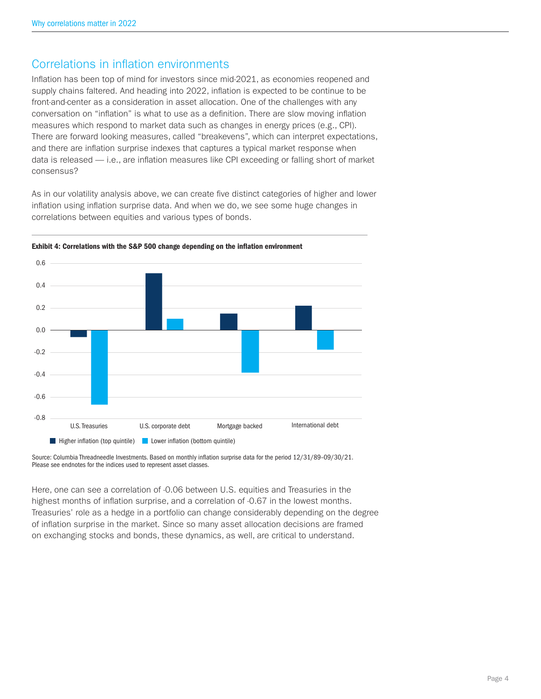#### Correlations in inflation environments

Inflation has been top of mind for investors since mid-2021, as economies reopened and supply chains faltered. And heading into 2022, inflation is expected to be continue to be front-and-center as a consideration in asset allocation. One of the challenges with any conversation on "inflation" is what to use as a definition. There are slow moving inflation measures which respond to market data such as changes in energy prices (e.g., CPI). There are forward looking measures, called "breakevens", which can interpret expectations, and there are inflation surprise indexes that captures a typical market response when data is released — i.e., are inflation measures like CPI exceeding or falling short of market consensus?

As in our volatility analysis above, we can create five distinct categories of higher and lower inflation using inflation surprise data. And when we do, we see some huge changes in correlations between equities and various types of bonds.



Exhibit 4: Correlations with the S&P 500 change depending on the inflation environment

Source: Columbia Threadneedle Investments. Based on monthly inflation surprise data for the period 12/31/89–09/30/21. Please see endnotes for the indices used to represent asset classes.

Here, one can see a correlation of -0.06 between U.S. equities and Treasuries in the highest months of inflation surprise, and a correlation of -0.67 in the lowest months. Treasuries' role as a hedge in a portfolio can change considerably depending on the degree of inflation surprise in the market. Since so many asset allocation decisions are framed on exchanging stocks and bonds, these dynamics, as well, are critical to understand.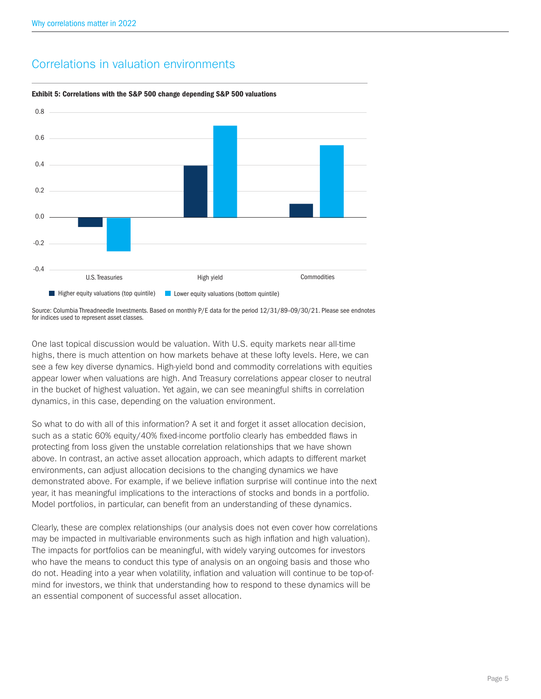

### Correlations in valuation environments



Source: Columbia Threadneedle Investments. Based on monthly P/E data for the period 12/31/89–09/30/21. Please see endnotes for indices used to represent asset classes.

One last topical discussion would be valuation. With U.S. equity markets near all-time highs, there is much attention on how markets behave at these lofty levels. Here, we can see a few key diverse dynamics. High-yield bond and commodity correlations with equities appear lower when valuations are high. And Treasury correlations appear closer to neutral in the bucket of highest valuation. Yet again, we can see meaningful shifts in correlation dynamics, in this case, depending on the valuation environment.

So what to do with all of this information? A set it and forget it asset allocation decision, such as a static 60% equity/40% fixed-income portfolio clearly has embedded flaws in protecting from loss given the unstable correlation relationships that we have shown above. In contrast, an active asset allocation approach, which adapts to different market environments, can adjust allocation decisions to the changing dynamics we have demonstrated above. For example, if we believe inflation surprise will continue into the next year, it has meaningful implications to the interactions of stocks and bonds in a portfolio. Model portfolios, in particular, can benefit from an understanding of these dynamics.

Clearly, these are complex relationships (our analysis does not even cover how correlations may be impacted in multivariable environments such as high inflation and high valuation). The impacts for portfolios can be meaningful, with widely varying outcomes for investors who have the means to conduct this type of analysis on an ongoing basis and those who do not. Heading into a year when volatility, inflation and valuation will continue to be top-ofmind for investors, we think that understanding how to respond to these dynamics will be an essential component of successful asset allocation.